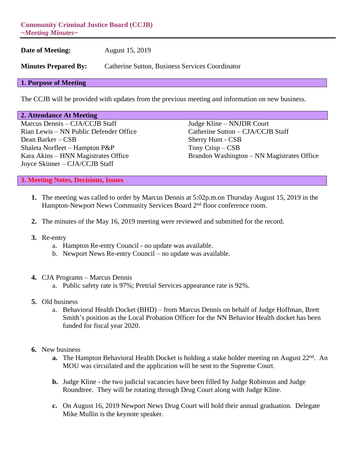**Community Criminal Justice Board (CCJB)** *~Meeting Minutes~*

**Date of Meeting:** August 15, 2019

**Minutes Prepared By:** Catherine Sutton, Business Services Coordinator

## **1. Purpose of Meeting**

The CCJB will be provided with updates from the previous meeting and information on new business.

## **2. Attendance At Meeting**

Marcus Dennis – CJA/CCJB Staff Judge Kline – NNJDR Court Rian Lewis – NN Public Defender Office Catherine Sutton – CJA/CCJB Staff Dean Barker – CSB Sherry Hunt - CSB Shaleta Norfleet – Hampton P&P Tony Crisp – CSB Joyce Skinner – CJA/CCJB Staff

Kara Akins – HNN Magistrates Office Brandon Washington – NN Magistrates Office

**3. Meeting Notes, Decisions, Issues**

- **1.** The meeting was called to order by Marcus Dennis at 5:02p.m.on Thursday August 15, 2019 in the Hampton-Newport News Community Services Board 2<sup>nd</sup> floor conference room.
- **2.** The minutes of the May 16, 2019 meeting were reviewed and submitted for the record.
- **3.** Re-entry
	- a. Hampton Re-entry Council no update was available.
	- b. Newport News Re-entry Council no update was available.
- **4.** CJA Programs Marcus Dennis
	- a. Public safety rate is 97%; Pretrial Services appearance rate is 92%.
- **5.** Old business
	- a. Behavioral Health Docket (BHD) from Marcus Dennis on behalf of Judge Hoffman, Brett Smith's position as the Local Probation Officer for the NN Behavior Health docket has been funded for fiscal year 2020.
- **6.** New business
	- **a.** The Hampton Behavioral Health Docket is holding a stake holder meeting on August 22<sup>nd</sup>. An MOU was circuilated and the application will be sent to the Supreme Court.
	- **b.** Judge Kline the two judicial vacancies have been filled by Judge Robinson and Judge Roundtree. They will be rotating through Drug Court along with Judge Kline.
	- **c.** On August 16, 2019 Newport News Drug Court will hold their annual graduation. Delegate Mike Mullin is the keynote speaker.